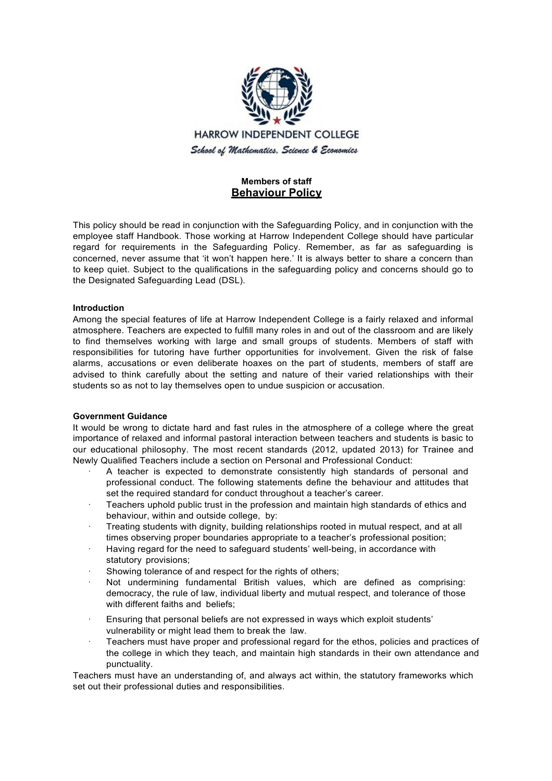

# **Members of staff Behaviour Policy**

This policy should be read in conjunction with the Safeguarding Policy, and in conjunction with the employee staff Handbook. Those working at Harrow Independent College should have particular regard for requirements in the Safeguarding Policy. Remember, as far as safeguarding is concerned, never assume that 'it won't happen here.' It is always better to share a concern than to keep quiet. Subject to the qualifications in the safeguarding policy and concerns should go to the Designated Safeguarding Lead (DSL).

# **Introduction**

Among the special features of life at Harrow Independent College is a fairly relaxed and informal atmosphere. Teachers are expected to fulfill many roles in and out of the classroom and are likely to find themselves working with large and small groups of students. Members of staff with responsibilities for tutoring have further opportunities for involvement. Given the risk of false alarms, accusations or even deliberate hoaxes on the part of students, members of staff are advised to think carefully about the setting and nature of their varied relationships with their students so as not to lay themselves open to undue suspicion or accusation.

# **Government Guidance**

It would be wrong to dictate hard and fast rules in the atmosphere of a college where the great importance of relaxed and informal pastoral interaction between teachers and students is basic to our educational philosophy. The most recent standards (2012, updated 2013) for Trainee and Newly Qualified Teachers include a section on Personal and Professional Conduct:

- · A teacher is expected to demonstrate consistently high standards of personal and professional conduct. The following statements define the behaviour and attitudes that set the required standard for conduct throughout a teacher's career.
- · Teachers uphold public trust in the profession and maintain high standards of ethics and behaviour, within and outside college, by:
- · Treating students with dignity, building relationships rooted in mutual respect, and at all times observing proper boundaries appropriate to a teacher's professional position;
- · Having regard for the need to safeguard students' well-being, in accordance with statutory provisions;
- Showing tolerance of and respect for the rights of others;
- Not undermining fundamental British values, which are defined as comprising: democracy, the rule of law, individual liberty and mutual respect, and tolerance of those with different faiths and beliefs:
- · Ensuring that personal beliefs are not expressed in ways which exploit students' vulnerability or might lead them to break the law.
- · Teachers must have proper and professional regard for the ethos, policies and practices of the college in which they teach, and maintain high standards in their own attendance and punctuality.

Teachers must have an understanding of, and always act within, the statutory frameworks which set out their professional duties and responsibilities.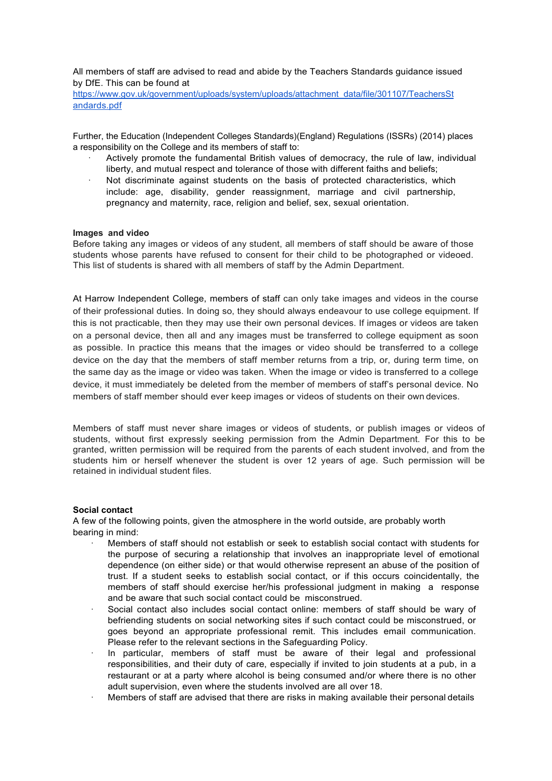All members of staff are advised to read and abide by the Teachers Standards guidance issued by DfE. This can be found at

https:/[/www.gov.uk/government/uploads/system/uploads/attachment\\_data/file/301107/Teach](http://www.gov.uk/government/uploads/system/uploads/attachment_data/file/301107/Teac)ersSt andards.pdf

Further, the Education (Independent Colleges Standards)(England) Regulations (ISSRs) (2014) places a responsibility on the College and its members of staff to:

- · Actively promote the fundamental British values of democracy, the rule of law, individual liberty, and mutual respect and tolerance of those with different faiths and beliefs;
- · Not discriminate against students on the basis of protected characteristics, which include: age, disability, gender reassignment, marriage and civil partnership, pregnancy and maternity, race, religion and belief, sex, sexual orientation.

### **Images and video**

Before taking any images or videos of any student, all members of staff should be aware of those students whose parents have refused to consent for their child to be photographed or videoed. This list of students is shared with all members of staff by the Admin Department.

At Harrow Independent College, members of staff can only take images and videos in the course of their professional duties. In doing so, they should always endeavour to use college equipment. If this is not practicable, then they may use their own personal devices. If images or videos are taken on a personal device, then all and any images must be transferred to college equipment as soon as possible. In practice this means that the images or video should be transferred to a college device on the day that the members of staff member returns from a trip, or, during term time, on the same day as the image or video was taken. When the image or video is transferred to a college device, it must immediately be deleted from the member of members of staff's personal device. No members of staff member should ever keep images or videos of students on their own devices.

Members of staff must never share images or videos of students, or publish images or videos of students, without first expressly seeking permission from the Admin Department. For this to be granted, written permission will be required from the parents of each student involved, and from the students him or herself whenever the student is over 12 years of age. Such permission will be retained in individual student files.

# **Social contact**

A few of the following points, given the atmosphere in the world outside, are probably worth bearing in mind:

- · Members of staff should not establish or seek to establish social contact with students for the purpose of securing a relationship that involves an inappropriate level of emotional dependence (on either side) or that would otherwise represent an abuse of the position of trust. If a student seeks to establish social contact, or if this occurs coincidentally, the members of staff should exercise her/his professional judgment in making a response and be aware that such social contact could be misconstrued.
- Social contact also includes social contact online: members of staff should be wary of befriending students on social networking sites if such contact could be misconstrued, or goes beyond an appropriate professional remit. This includes email communication. Please refer to the relevant sections in the Safeguarding Policy.
- · In particular, members of staff must be aware of their legal and professional responsibilities, and their duty of care, especially if invited to join students at a pub, in a restaurant or at a party where alcohol is being consumed and/or where there is no other adult supervision, even where the students involved are all over 18.
- · Members of staff are advised that there are risks in making available their personal details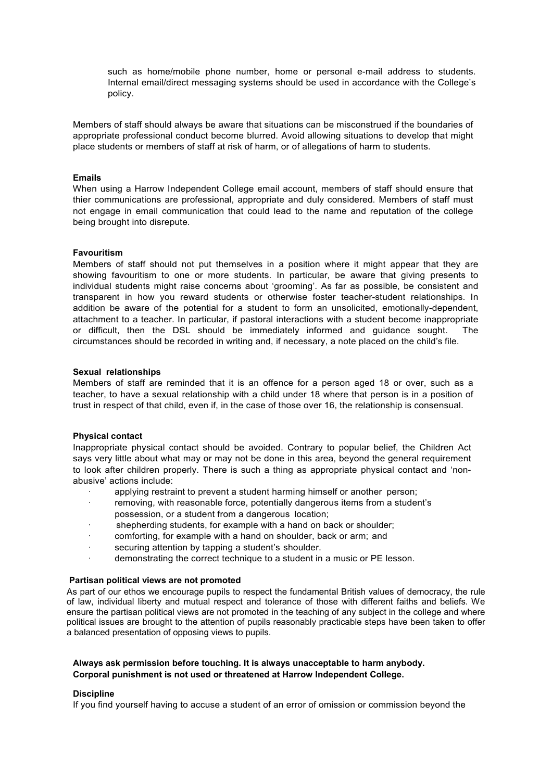such as home/mobile phone number, home or personal e-mail address to students. Internal email/direct messaging systems should be used in accordance with the College's policy.

Members of staff should always be aware that situations can be misconstrued if the boundaries of appropriate professional conduct become blurred. Avoid allowing situations to develop that might place students or members of staff at risk of harm, or of allegations of harm to students.

# **Emails**

When using a Harrow Independent College email account, members of staff should ensure that thier communications are professional, appropriate and duly considered. Members of staff must not engage in email communication that could lead to the name and reputation of the college being brought into disrepute.

### **Favouritism**

Members of staff should not put themselves in a position where it might appear that they are showing favouritism to one or more students. In particular, be aware that giving presents to individual students might raise concerns about 'grooming'. As far as possible, be consistent and transparent in how you reward students or otherwise foster teacher-student relationships. In addition be aware of the potential for a student to form an unsolicited, emotionally-dependent, attachment to a teacher. In particular, if pastoral interactions with a student become inappropriate or difficult, then the DSL should be immediately informed and guidance sought. The circumstances should be recorded in writing and, if necessary, a note placed on the child's file.

#### **Sexual relationships**

Members of staff are reminded that it is an offence for a person aged 18 or over, such as a teacher, to have a sexual relationship with a child under 18 where that person is in a position of trust in respect of that child, even if, in the case of those over 16, the relationship is consensual.

# **Physical contact**

Inappropriate physical contact should be avoided. Contrary to popular belief, the Children Act says very little about what may or may not be done in this area, beyond the general requirement to look after children properly. There is such a thing as appropriate physical contact and 'nonabusive' actions include:

- applying restraint to prevent a student harming himself or another person;
- · removing, with reasonable force, potentially dangerous items from a student's possession, or a student from a dangerous location;
- shepherding students, for example with a hand on back or shoulder;
- · comforting, for example with a hand on shoulder, back or arm; and
- securing attention by tapping a student's shoulder.
- demonstrating the correct technique to a student in a music or PE lesson.

# **Partisan political views are not promoted**

As part of our ethos we encourage pupils to respect the fundamental British values of democracy, the rule of law, individual liberty and mutual respect and tolerance of those with different faiths and beliefs. We ensure the partisan political views are not promoted in the teaching of any subject in the college and where political issues are brought to the attention of pupils reasonably practicable steps have been taken to offer a balanced presentation of opposing views to pupils.

# **Always ask permission before touching. It is always unacceptable to harm anybody. Corporal punishment is not used or threatened at Harrow Independent College.**

#### **Discipline**

If you find yourself having to accuse a student of an error of omission or commission beyond the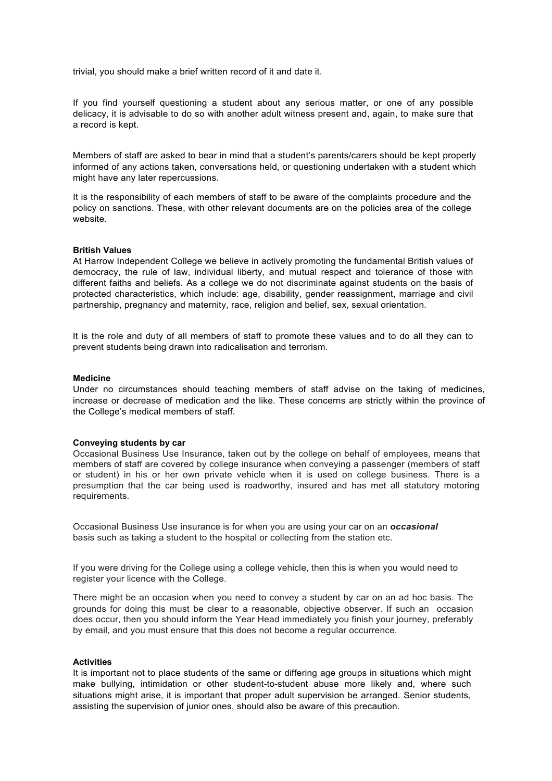trivial, you should make a brief written record of it and date it.

If you find yourself questioning a student about any serious matter, or one of any possible delicacy, it is advisable to do so with another adult witness present and, again, to make sure that a record is kept.

Members of staff are asked to bear in mind that a student's parents/carers should be kept properly informed of any actions taken, conversations held, or questioning undertaken with a student which might have any later repercussions.

It is the responsibility of each members of staff to be aware of the complaints procedure and the policy on sanctions. These, with other relevant documents are on the policies area of the college website.

#### **British Values**

At Harrow Independent College we believe in actively promoting the fundamental British values of democracy, the rule of law, individual liberty, and mutual respect and tolerance of those with different faiths and beliefs. As a college we do not discriminate against students on the basis of protected characteristics, which include: age, disability, gender reassignment, marriage and civil partnership, pregnancy and maternity, race, religion and belief, sex, sexual orientation.

It is the role and duty of all members of staff to promote these values and to do all they can to prevent students being drawn into radicalisation and terrorism.

#### **Medicine**

Under no circumstances should teaching members of staff advise on the taking of medicines, increase or decrease of medication and the like. These concerns are strictly within the province of the College's medical members of staff.

#### **Conveying students by car**

Occasional Business Use Insurance, taken out by the college on behalf of employees, means that members of staff are covered by college insurance when conveying a passenger (members of staff or student) in his or her own private vehicle when it is used on college business. There is a presumption that the car being used is roadworthy, insured and has met all statutory motoring requirements.

Occasional Business Use insurance is for when you are using your car on an *occasional* basis such as taking a student to the hospital or collecting from the station etc.

If you were driving for the College using a college vehicle, then this is when you would need to register your licence with the College.

There might be an occasion when you need to convey a student by car on an ad hoc basis. The grounds for doing this must be clear to a reasonable, objective observer. If such an occasion does occur, then you should inform the Year Head immediately you finish your journey, preferably by email, and you must ensure that this does not become a regular occurrence.

# **Activities**

It is important not to place students of the same or differing age groups in situations which might make bullying, intimidation or other student-to-student abuse more likely and, where such situations might arise, it is important that proper adult supervision be arranged. Senior students, assisting the supervision of junior ones, should also be aware of this precaution.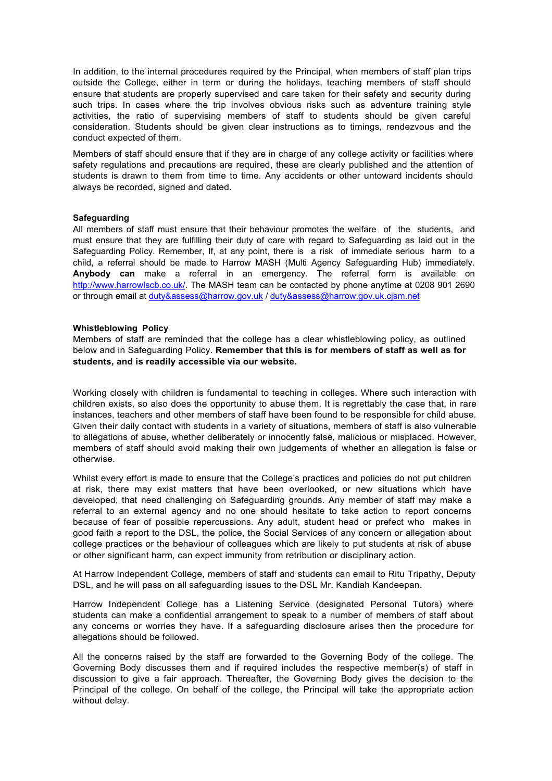In addition, to the internal procedures required by the Principal, when members of staff plan trips outside the College, either in term or during the holidays, teaching members of staff should ensure that students are properly supervised and care taken for their safety and security during such trips. In cases where the trip involves obvious risks such as adventure training style activities, the ratio of supervising members of staff to students should be given careful consideration. Students should be given clear instructions as to timings, rendezvous and the conduct expected of them.

Members of staff should ensure that if they are in charge of any college activity or facilities where safety regulations and precautions are required, these are clearly published and the attention of students is drawn to them from time to time. Any accidents or other untoward incidents should always be recorded, signed and dated.

### **Safeguarding**

All members of staff must ensure that their behaviour promotes the welfare of the students, and must ensure that they are fulfilling their duty of care with regard to Safeguarding as laid out in the Safeguarding Policy. Remember, If, at any point, there is a risk of immediate serious harm to a child, a referral should be made to Harrow MASH (Multi Agency Safeguarding Hub) immediately. **Anybody can** make a referral in an emergency. The referral form is available on [http://www.harrowlscb.co.uk/.](http://www.harrowlscb.co.uk/) The MASH team can be contacted by phone anytime at 0208 901 2690 or through email at [duty&assess@harrow.gov.uk](mailto:duty%26assess@harrow.gov.uk) / [duty&assess@harrow.gov.uk.cjsm.net](mailto:duty%26assess@harrow.gov.uk.cjsm.net)

#### **Whistleblowing Policy**

Members of staff are reminded that the college has a clear whistleblowing policy, as outlined below and in Safeguarding Policy. **Remember that this is for members of staff as well as for students, and is readily accessible via our website.**

Working closely with children is fundamental to teaching in colleges. Where such interaction with children exists, so also does the opportunity to abuse them. It is regrettably the case that, in rare instances, teachers and other members of staff have been found to be responsible for child abuse. Given their daily contact with students in a variety of situations, members of staff is also vulnerable to allegations of abuse, whether deliberately or innocently false, malicious or misplaced. However, members of staff should avoid making their own judgements of whether an allegation is false or otherwise.

Whilst every effort is made to ensure that the College's practices and policies do not put children at risk, there may exist matters that have been overlooked, or new situations which have developed, that need challenging on Safeguarding grounds. Any member of staff may make a referral to an external agency and no one should hesitate to take action to report concerns because of fear of possible repercussions. Any adult, student head or prefect who makes in good faith a report to the DSL, the police, the Social Services of any concern or allegation about college practices or the behaviour of colleagues which are likely to put students at risk of abuse or other significant harm, can expect immunity from retribution or disciplinary action.

At Harrow Independent College, members of staff and students can email to Ritu Tripathy, Deputy DSL, and he will pass on all safeguarding issues to the DSL Mr. Kandiah Kandeepan.

Harrow Independent College has a Listening Service (designated Personal Tutors) where students can make a confidential arrangement to speak to a number of members of staff about any concerns or worries they have. If a safeguarding disclosure arises then the procedure for allegations should be followed.

All the concerns raised by the staff are forwarded to the Governing Body of the college. The Governing Body discusses them and if required includes the respective member(s) of staff in discussion to give a fair approach. Thereafter, the Governing Body gives the decision to the Principal of the college. On behalf of the college, the Principal will take the appropriate action without delay.